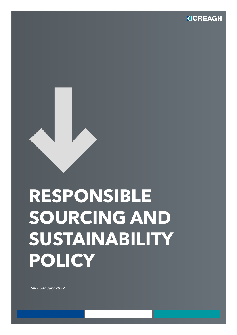**CCREAGH** 

# **RESPONSIBLE SOURCING AND SUSTAINABILITY POLICY**

*Rev F January 2022*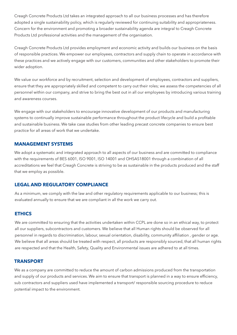Creagh Concrete Products Ltd takes an integrated approach to all our business processes and has therefore adopted a single sustainability policy, which is regularly reviewed for continuing suitability and appropriateness. Concern for the environment and promoting a broader sustainability agenda are integral to Creagh Concrete Products Ltd professional activities and the management of the organisation.

Creagh Concrete Products Ltd provides employment and economic activity and builds our business on the basis of responsible practices. We empower our employees, contractors and supply chain to operate in accordance with these practices and we actively engage with our customers, communities and other stakeholders to promote their wider adoption.

We value our workforce and by recruitment, selection and development of employees, contractors and suppliers, ensure that they are appropriately skilled and competent to carry out their roles; we assess the competencies of all personnel within our company, and strive to bring the best out in all our employees by introducing various training and awareness courses.

We engage with our stakeholders to encourage innovative development of our products and manufacturing systems to continually improve sustainable performance throughout the product lifecycle and build a profitable and sustainable business. We take case studies from other leading precast concrete companies to ensure best practice for all areas of work that we undertake.

## **MANAGEMENT SYSTEMS**

We adopt a systematic and integrated approach to all aspects of our business and are committed to compliance with the requirements of BES 6001, ISO 9001, ISO 14001 and OHSAS18001 through a combination of all accreditations we feel that Creagh Concrete is striving to be as sustainable in the products produced and the staff that we employ as possible.

# **LEGAL AND REGULATORY COMPLIANCE**

As a minimum, we comply with the law and other regulatory requirements applicable to our business; this is evaluated annually to ensure that we are compliant in all the work we carry out.

## **ETHICS**

We are committed to ensuring that the activities undertaken within CCPL are done so in an ethical way, to protect all our suppliers, subcontractors and customers. We believe that all Human rights should be observed for all personnel in regards to discrimination, labour, sexual orientation, disability, community affiliation , gender or age. We believe that all areas should be treated with respect, all products are responsibly sourced, that all human rights are respected and that the Health, Safety, Quality and Environmental issues are adhered to at all times.

## **TRANSPORT**

We as a company are committed to reduce the amount of carbon admissions produced from the transportation and supply of our products and services. We aim to ensure that transport is planned in a way to ensure efficiency, sub contractors and suppliers used have implemented a transport/ responsible sourcing procedure to reduce potential impact to the environment.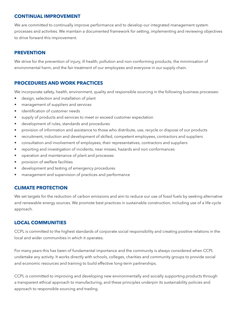## **CONTINUAL IMPROVEMENT**

We are committed to continually improve performance and to develop our integrated management system processes and activities. We maintain a documented framework for setting, implementing and reviewing objectives to drive forward this improvement.

## **PREVENTION**

We strive for the prevention of injury, ill health, pollution and non-conforming products; the minimisation of environmental harm, and the fair treatment of our employees and everyone in our supply chain.

## **PROCEDURES AND WORK PRACTICES**

We incorporate safety, health, environment, quality and responsible sourcing in the following business processes:

- design, selection and installation of plant
- management of suppliers and services
- identification of customer needs
- supply of products and services to meet or exceed customer expectation
- development of rules, standards and procedures
- provision of information and assistance to those who distribute, use, recycle or dispose of our products
- recruitment, induction and development of skilled, competent employees, contractors and suppliers
- consultation and involvement of employees, their representatives, contractors and suppliers
- reporting and investigation of incidents, near misses, hazards and non conformances
- operation and maintenance of plant and processes
- provision of welfare facilities
- development and testing of emergency procedures
- management and supervision of practices and performance

## **CLIMATE PROTECTION**

We set targets for the reduction of carbon emissions and aim to reduce our use of fossil fuels by seeking alternative and renewable energy sources. We promote best practices in sustainable construction, including use of a life-cycle approach.

## **LOCAL COMMUNITIES**

CCPL is committed to the highest standards of corporate social responsibility and creating positive relations in the local and wider communities in which it operates.

For many years this has been of fundamental importance and the community is always considered when CCPL undertake any activity. It works directly with schools, colleges, charities and community groups to provide social and economic resources and training to build effective long-term partnerships.

CCPL is committed to improving and developing new environmentally and socially supporting products through a transparent ethical approach to manufacturing, and these principles underpin its sustainability policies and approach to responsible sourcing and trading.